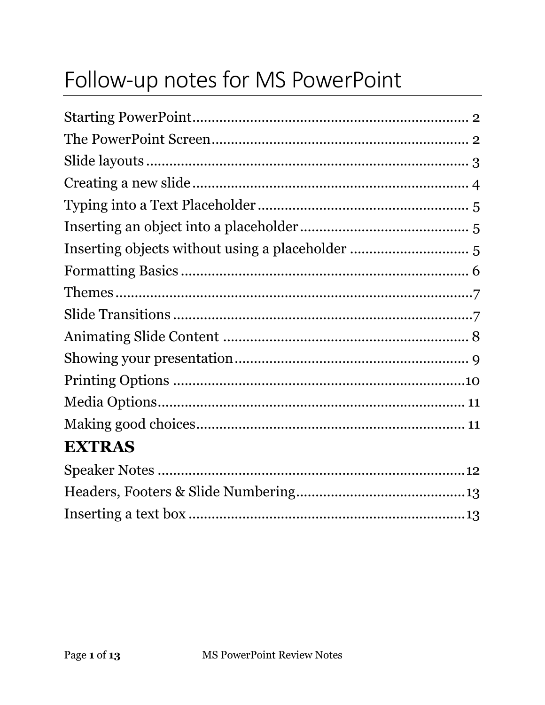# Follow-up notes for MS PowerPoint

| Inserting objects without using a placeholder  5 |  |
|--------------------------------------------------|--|
|                                                  |  |
|                                                  |  |
|                                                  |  |
|                                                  |  |
|                                                  |  |
|                                                  |  |
|                                                  |  |
|                                                  |  |
| <b>EXTRAS</b>                                    |  |
|                                                  |  |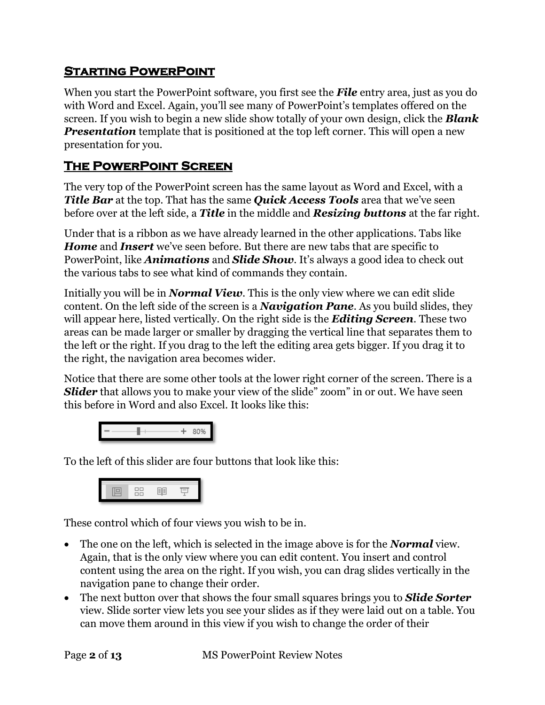#### <span id="page-1-0"></span>**Starting PowerPoint**

When you start the PowerPoint software, you first see the *File* entry area, just as you do with Word and Excel. Again, you'll see many of PowerPoint's templates offered on the screen. If you wish to begin a new slide show totally of your own design, click the *Blank*  **Presentation** template that is positioned at the top left corner. This will open a new presentation for you.

## <span id="page-1-1"></span>**The PowerPoint Screen**

The very top of the PowerPoint screen has the same layout as Word and Excel, with a *Title Bar* at the top. That has the same *Quick Access Tools* area that we've seen before over at the left side, a *Title* in the middle and *Resizing buttons* at the far right.

Under that is a ribbon as we have already learned in the other applications. Tabs like *Home* and *Insert* we've seen before. But there are new tabs that are specific to PowerPoint, like *Animations* and *Slide Show*. It's always a good idea to check out the various tabs to see what kind of commands they contain.

Initially you will be in *Normal View*. This is the only view where we can edit slide content. On the left side of the screen is a *Navigation Pane*. As you build slides, they will appear here, listed vertically. On the right side is the *Editing Screen*. These two areas can be made larger or smaller by dragging the vertical line that separates them to the left or the right. If you drag to the left the editing area gets bigger. If you drag it to the right, the navigation area becomes wider.

Notice that there are some other tools at the lower right corner of the screen. There is a **Slider** that allows you to make your view of the slide" zoom" in or out. We have seen this before in Word and also Excel. It looks like this:



To the left of this slider are four buttons that look like this:



These control which of four views you wish to be in.

- The one on the left, which is selected in the image above is for the *Normal* view. Again, that is the only view where you can edit content. You insert and control content using the area on the right. If you wish, you can drag slides vertically in the navigation pane to change their order.
- The next button over that shows the four small squares brings you to *Slide Sorter* view. Slide sorter view lets you see your slides as if they were laid out on a table. You can move them around in this view if you wish to change the order of their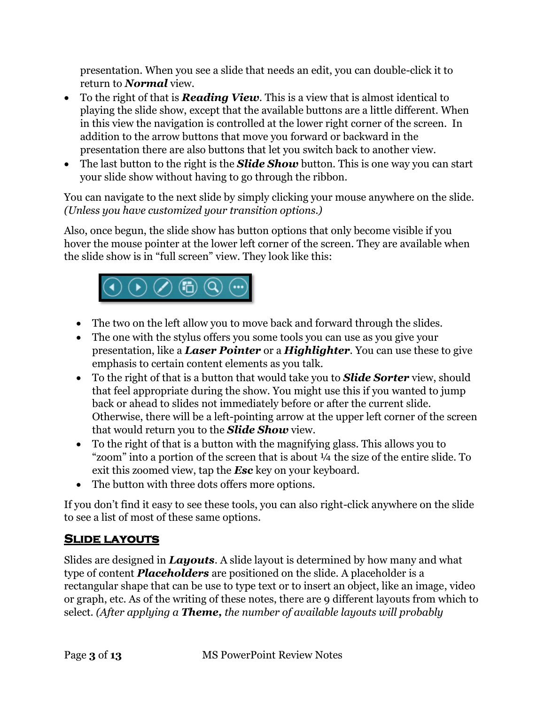presentation. When you see a slide that needs an edit, you can double-click it to return to *Normal* view.

- To the right of that is *Reading View*. This is a view that is almost identical to playing the slide show, except that the available buttons are a little different. When in this view the navigation is controlled at the lower right corner of the screen. In addition to the arrow buttons that move you forward or backward in the presentation there are also buttons that let you switch back to another view.
- The last button to the right is the **Slide Show** button. This is one way you can start your slide show without having to go through the ribbon.

You can navigate to the next slide by simply clicking your mouse anywhere on the slide. *(Unless you have customized your transition options.)*

Also, once begun, the slide show has button options that only become visible if you hover the mouse pointer at the lower left corner of the screen. They are available when the slide show is in "full screen" view. They look like this:



- The two on the left allow you to move back and forward through the slides.
- The one with the stylus offers you some tools you can use as you give your presentation, like a *Laser Pointer* or a *Highlighter*. You can use these to give emphasis to certain content elements as you talk.
- To the right of that is a button that would take you to *Slide Sorter* view, should that feel appropriate during the show. You might use this if you wanted to jump back or ahead to slides not immediately before or after the current slide. Otherwise, there will be a left-pointing arrow at the upper left corner of the screen that would return you to the *Slide Show* view.
- To the right of that is a button with the magnifying glass. This allows you to "zoom" into a portion of the screen that is about ¼ the size of the entire slide. To exit this zoomed view, tap the *Esc* key on your keyboard.
- The button with three dots offers more options.

If you don't find it easy to see these tools, you can also right-click anywhere on the slide to see a list of most of these same options.

## <span id="page-2-0"></span>**Slide layouts**

Slides are designed in *Layouts*. A slide layout is determined by how many and what type of content *Placeholders* are positioned on the slide. A placeholder is a rectangular shape that can be use to type text or to insert an object, like an image, video or graph, etc. As of the writing of these notes, there are 9 different layouts from which to select. *(After applying a Theme, the number of available layouts will probably*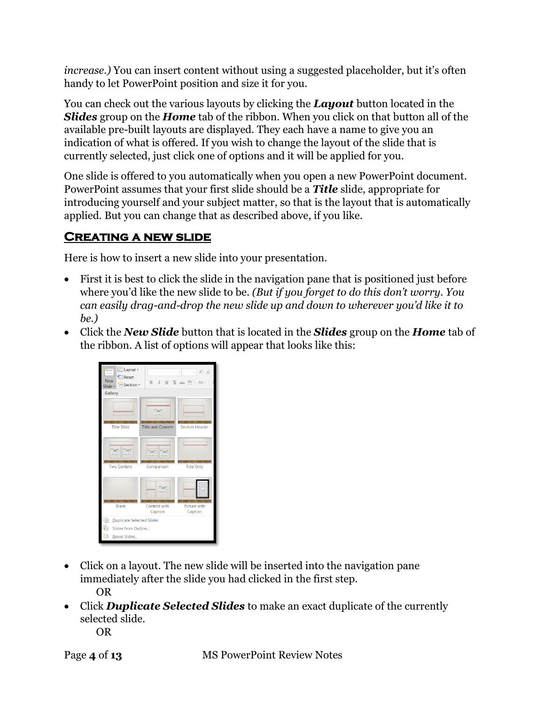*increase.)* You can insert content without using a suggested placeholder, but it's often handy to let PowerPoint position and size it for you.

You can check out the various layouts by clicking the *Layout* button located in the *Slides* group on the *Home* tab of the ribbon. When you click on that button all of the available pre-built layouts are displayed. They each have a name to give you an indication of what is offered. If you wish to change the layout of the slide that is currently selected, just click one of options and it will be applied for you.

One slide is offered to you automatically when you open a new PowerPoint document. PowerPoint assumes that your first slide should be a *Title* slide, appropriate for introducing yourself and your subject matter, so that is the layout that is automatically applied. But you can change that as described above, if you like.

#### <span id="page-3-0"></span>**Creating a new slide**

Here is how to insert a new slide into your presentation.

- First it is best to click the slide in the navigation pane that is positioned just before where you'd like the new slide to be. *(But if you forget to do this don't worry. You can easily drag-and-drop the new slide up and down to wherever you'd like it to be.)*
- Click the *New Slide* button that is located in the *Slides* group on the *Home* tab of the ribbon. A list of options will appear that looks like this:



- Click on a layout. The new slide will be inserted into the navigation pane immediately after the slide you had clicked in the first step. OR
- Click *Duplicate Selected Slides* to make an exact duplicate of the currently selected slide.

OR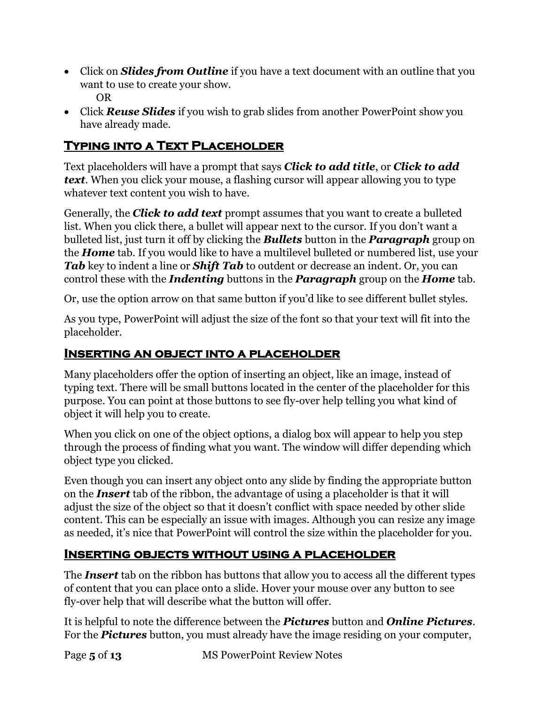- Click on *Slides from Outline* if you have a text document with an outline that you want to use to create your show. OR
- Click *Reuse Slides* if you wish to grab slides from another PowerPoint show you have already made.

#### <span id="page-4-0"></span>**Typing into a Text Placeholder**

Text placeholders will have a prompt that says *Click to add title*, or *Click to add text*. When you click your mouse, a flashing cursor will appear allowing you to type whatever text content you wish to have.

Generally, the *Click to add text* prompt assumes that you want to create a bulleted list. When you click there, a bullet will appear next to the cursor. If you don't want a bulleted list, just turn it off by clicking the *Bullets* button in the *Paragraph* group on the *Home* tab. If you would like to have a multilevel bulleted or numbered list, use your *Tab* key to indent a line or *Shift Tab* to outdent or decrease an indent. Or, you can control these with the *Indenting* buttons in the *Paragraph* group on the *Home* tab.

Or, use the option arrow on that same button if you'd like to see different bullet styles.

As you type, PowerPoint will adjust the size of the font so that your text will fit into the placeholder.

#### <span id="page-4-1"></span>**Inserting an object into a placeholder**

Many placeholders offer the option of inserting an object, like an image, instead of typing text. There will be small buttons located in the center of the placeholder for this purpose. You can point at those buttons to see fly-over help telling you what kind of object it will help you to create.

When you click on one of the object options, a dialog box will appear to help you step through the process of finding what you want. The window will differ depending which object type you clicked.

Even though you can insert any object onto any slide by finding the appropriate button on the *Insert* tab of the ribbon, the advantage of using a placeholder is that it will adjust the size of the object so that it doesn't conflict with space needed by other slide content. This can be especially an issue with images. Although you can resize any image as needed, it's nice that PowerPoint will control the size within the placeholder for you.

#### <span id="page-4-2"></span>**Inserting objects without using a placeholder**

The *Insert* tab on the ribbon has buttons that allow you to access all the different types of content that you can place onto a slide. Hover your mouse over any button to see fly-over help that will describe what the button will offer.

It is helpful to note the difference between the *Pictures* button and *Online Pictures*. For the *Pictures* button, you must already have the image residing on your computer,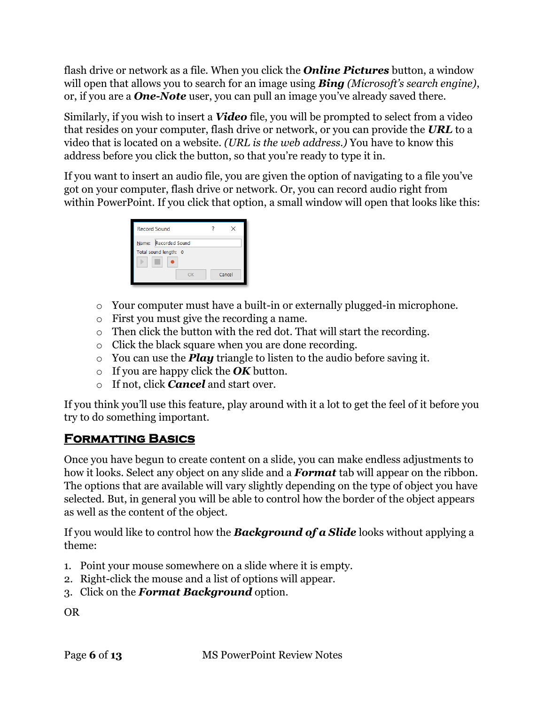flash drive or network as a file. When you click the *Online Pictures* button, a window will open that allows you to search for an image using *Bing (Microsoft's search engine)*, or, if you are a *One-Note* user, you can pull an image you've already saved there.

Similarly, if you wish to insert a *Video* file, you will be prompted to select from a video that resides on your computer, flash drive or network, or you can provide the *URL* to a video that is located on a website. *(URL is the web address.)* You have to know this address before you click the button, so that you're ready to type it in.

If you want to insert an audio file, you are given the option of navigating to a file you've got on your computer, flash drive or network. Or, you can record audio right from within PowerPoint. If you click that option, a small window will open that looks like this:

| <b>Record Sound</b>                           |        |
|-----------------------------------------------|--------|
| Name: Recorded Sound<br>Total sound length: 0 |        |
| OΚ                                            | Cancel |

- o Your computer must have a built-in or externally plugged-in microphone.
- o First you must give the recording a name.
- o Then click the button with the red dot. That will start the recording.
- o Click the black square when you are done recording.
- o You can use the *Play* triangle to listen to the audio before saving it.
- o If you are happy click the *OK* button.
- o If not, click *Cancel* and start over.

If you think you'll use this feature, play around with it a lot to get the feel of it before you try to do something important.

## <span id="page-5-0"></span>**Formatting Basics**

Once you have begun to create content on a slide, you can make endless adjustments to how it looks. Select any object on any slide and a *Format* tab will appear on the ribbon. The options that are available will vary slightly depending on the type of object you have selected. But, in general you will be able to control how the border of the object appears as well as the content of the object.

If you would like to control how the *Background of a Slide* looks without applying a theme:

- 1. Point your mouse somewhere on a slide where it is empty.
- 2. Right-click the mouse and a list of options will appear.
- 3. Click on the *Format Background* option.

OR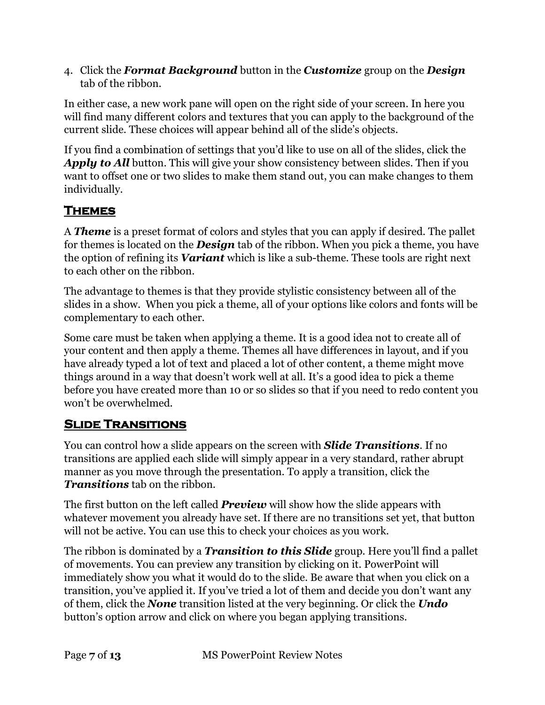4. Click the *Format Background* button in the *Customize* group on the *Design* tab of the ribbon.

In either case, a new work pane will open on the right side of your screen. In here you will find many different colors and textures that you can apply to the background of the current slide. These choices will appear behind all of the slide's objects.

If you find a combination of settings that you'd like to use on all of the slides, click the *Apply to All* button. This will give your show consistency between slides. Then if you want to offset one or two slides to make them stand out, you can make changes to them individually.

## <span id="page-6-0"></span>**Themes**

A *Theme* is a preset format of colors and styles that you can apply if desired. The pallet for themes is located on the *Design* tab of the ribbon. When you pick a theme, you have the option of refining its *Variant* which is like a sub-theme. These tools are right next to each other on the ribbon.

The advantage to themes is that they provide stylistic consistency between all of the slides in a show. When you pick a theme, all of your options like colors and fonts will be complementary to each other.

Some care must be taken when applying a theme. It is a good idea not to create all of your content and then apply a theme. Themes all have differences in layout, and if you have already typed a lot of text and placed a lot of other content, a theme might move things around in a way that doesn't work well at all. It's a good idea to pick a theme before you have created more than 10 or so slides so that if you need to redo content you won't be overwhelmed.

## <span id="page-6-1"></span>**Slide Transitions**

You can control how a slide appears on the screen with *Slide Transitions*. If no transitions are applied each slide will simply appear in a very standard, rather abrupt manner as you move through the presentation. To apply a transition, click the *Transitions* tab on the ribbon.

The first button on the left called *Preview* will show how the slide appears with whatever movement you already have set. If there are no transitions set yet, that button will not be active. You can use this to check your choices as you work.

The ribbon is dominated by a *Transition to this Slide* group. Here you'll find a pallet of movements. You can preview any transition by clicking on it. PowerPoint will immediately show you what it would do to the slide. Be aware that when you click on a transition, you've applied it. If you've tried a lot of them and decide you don't want any of them, click the *None* transition listed at the very beginning. Or click the *Undo* button's option arrow and click on where you began applying transitions.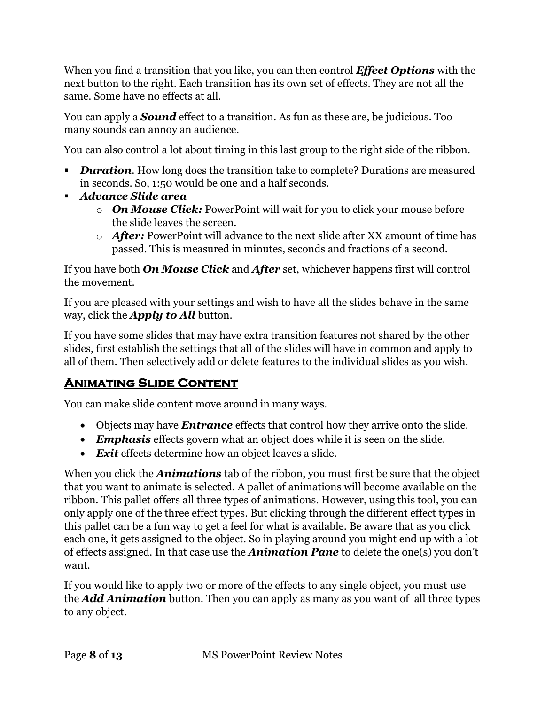When you find a transition that you like, you can then control *Effect Options* with the next button to the right. Each transition has its own set of effects. They are not all the same. Some have no effects at all.

You can apply a *Sound* effect to a transition. As fun as these are, be judicious. Too many sounds can annoy an audience.

You can also control a lot about timing in this last group to the right side of the ribbon.

- **Duration.** How long does the transition take to complete? Durations are measured in seconds. So, 1:50 would be one and a half seconds.
- *Advance Slide area*
	- o *On Mouse Click:* PowerPoint will wait for you to click your mouse before the slide leaves the screen.
	- o *After:* PowerPoint will advance to the next slide after XX amount of time has passed. This is measured in minutes, seconds and fractions of a second.

If you have both *On Mouse Click* and *After* set, whichever happens first will control the movement.

If you are pleased with your settings and wish to have all the slides behave in the same way, click the *Apply to All* button.

If you have some slides that may have extra transition features not shared by the other slides, first establish the settings that all of the slides will have in common and apply to all of them. Then selectively add or delete features to the individual slides as you wish.

## <span id="page-7-0"></span>**Animating Slide Content**

You can make slide content move around in many ways.

- Objects may have *Entrance* effects that control how they arrive onto the slide.
- *Emphasis* effects govern what an object does while it is seen on the slide.
- *Exit* effects determine how an object leaves a slide.

When you click the *Animations* tab of the ribbon, you must first be sure that the object that you want to animate is selected. A pallet of animations will become available on the ribbon. This pallet offers all three types of animations. However, using this tool, you can only apply one of the three effect types. But clicking through the different effect types in this pallet can be a fun way to get a feel for what is available. Be aware that as you click each one, it gets assigned to the object. So in playing around you might end up with a lot of effects assigned. In that case use the *Animation Pane* to delete the one(s) you don't want.

If you would like to apply two or more of the effects to any single object, you must use the *Add Animation* button. Then you can apply as many as you want of all three types to any object.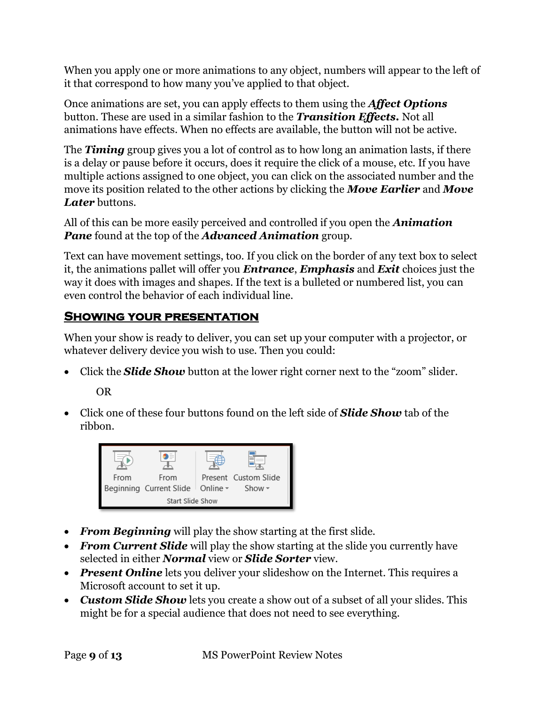When you apply one or more animations to any object, numbers will appear to the left of it that correspond to how many you've applied to that object.

Once animations are set, you can apply effects to them using the *Affect Options* button. These are used in a similar fashion to the *Transition Effects.* Not all animations have effects. When no effects are available, the button will not be active.

The *Timing* group gives you a lot of control as to how long an animation lasts, if there is a delay or pause before it occurs, does it require the click of a mouse, etc. If you have multiple actions assigned to one object, you can click on the associated number and the move its position related to the other actions by clicking the *Move Earlier* and *Move Later* buttons.

All of this can be more easily perceived and controlled if you open the *Animation Pane* found at the top of the *Advanced Animation* group.

Text can have movement settings, too. If you click on the border of any text box to select it, the animations pallet will offer you *Entrance*, *Emphasis* and *Exit* choices just the way it does with images and shapes. If the text is a bulleted or numbered list, you can even control the behavior of each individual line.

## <span id="page-8-0"></span>**Showing your presentation**

When your show is ready to deliver, you can set up your computer with a projector, or whatever delivery device you wish to use. Then you could:

• Click the **Slide Show** button at the lower right corner next to the "zoom" slider.

OR

• Click one of these four buttons found on the left side of *Slide Show* tab of the ribbon.



- *From Beginning* will play the show starting at the first slide.
- *From Current Slide* will play the show starting at the slide you currently have selected in either *Normal* view or *Slide Sorter* view.
- *Present Online* lets you deliver your slideshow on the Internet. This requires a Microsoft account to set it up.
- *Custom Slide Show* lets you create a show out of a subset of all your slides. This might be for a special audience that does not need to see everything.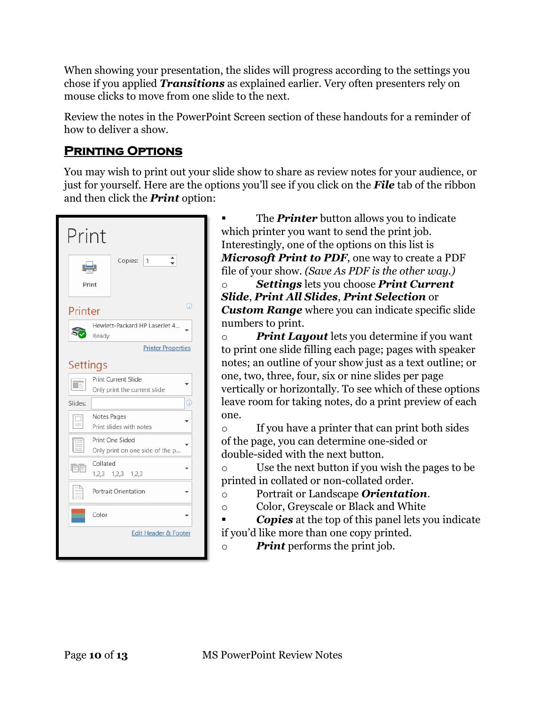When showing your presentation, the slides will progress according to the settings you chose if you applied *Transitions* as explained earlier. Very often presenters rely on mouse clicks to move from one slide to the next.

Review the notes in the PowerPoint Screen section of these handouts for a reminder of how to deliver a show.

#### <span id="page-9-0"></span>**Printing Options**

You may wish to print out your slide show to share as review notes for your audience, or just for yourself. Here are the options you'll see if you click on the *File* tab of the ribbon and then click the *Print* option:

|         | Print                                               |  |  |  |
|---------|-----------------------------------------------------|--|--|--|
|         | Copies:<br>1<br>وليبل<br>Print                      |  |  |  |
|         | $\odot$<br>Printer                                  |  |  |  |
|         | Hewlett-Packard HP LaserJet 4<br>Ready              |  |  |  |
|         | <b>Printer Properties</b>                           |  |  |  |
|         | <b>Settings</b>                                     |  |  |  |
|         | Print Current Slide<br>Only print the current slide |  |  |  |
| Slides: | Œ                                                   |  |  |  |
|         | Notes Pages<br>Print slides with notes              |  |  |  |
|         | Print One Sided<br>Only print on one side of the p  |  |  |  |
|         | Collated<br>$1,2,3$ $1,2,3$ $1,2,3$                 |  |  |  |
|         | Portrait Orientation                                |  |  |  |
|         | Color                                               |  |  |  |
|         | Edit Header & Footer                                |  |  |  |

The **Printer** button allows you to indicate which printer you want to send the print job. Interestingly, one of the options on this list is *Microsoft Print to PDF*, one way to create a PDF file of your show. *(Save As PDF is the other way.)*

o *Settings* lets you choose *Print Current Slide*, *Print All Slides*, *Print Selection* or *Custom Range* where you can indicate specific slide numbers to print.

o *Print Layout* lets you determine if you want to print one slide filling each page; pages with speaker notes; an outline of your show just as a text outline; or one, two, three, four, six or nine slides per page vertically or horizontally. To see which of these options leave room for taking notes, do a print preview of each one.

o If you have a printer that can print both sides of the page, you can determine one-sided or double-sided with the next button.

o Use the next button if you wish the pages to be printed in collated or non-collated order.

- o Portrait or Landscape *Orientation*.
- o Color, Greyscale or Black and White
- **Copies** at the top of this panel lets you indicate if you'd like more than one copy printed.
- o *Print* performs the print job.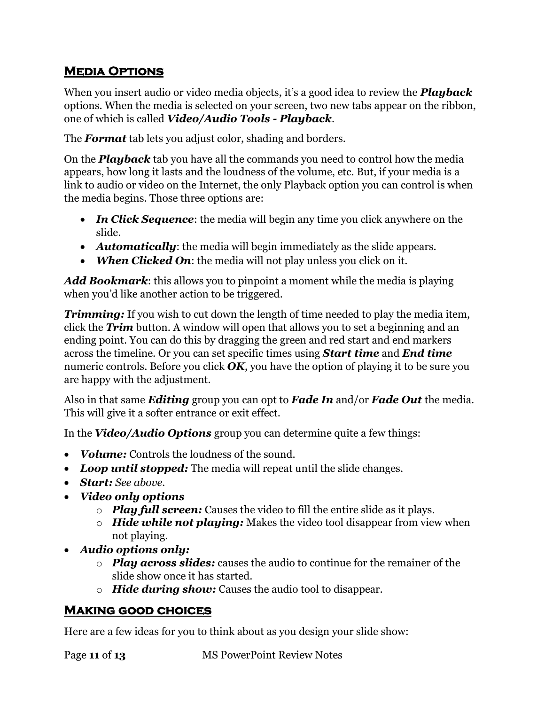## <span id="page-10-0"></span>**Media Options**

When you insert audio or video media objects, it's a good idea to review the *Playback* options. When the media is selected on your screen, two new tabs appear on the ribbon, one of which is called *Video/Audio Tools - Playback*.

The *Format* tab lets you adjust color, shading and borders.

On the *Playback* tab you have all the commands you need to control how the media appears, how long it lasts and the loudness of the volume, etc. But, if your media is a link to audio or video on the Internet, the only Playback option you can control is when the media begins. Those three options are:

- *In Click Sequence*: the media will begin any time you click anywhere on the slide.
- *Automatically:* the media will begin immediately as the slide appears.
- *When Clicked On:* the media will not play unless you click on it.

*Add Bookmark*: this allows you to pinpoint a moment while the media is playing when you'd like another action to be triggered.

*Trimming:* If you wish to cut down the length of time needed to play the media item, click the *Trim* button. A window will open that allows you to set a beginning and an ending point. You can do this by dragging the green and red start and end markers across the timeline. Or you can set specific times using *Start time* and *End time* numeric controls. Before you click *OK*, you have the option of playing it to be sure you are happy with the adjustment.

Also in that same *Editing* group you can opt to *Fade In* and/or *Fade Out* the media. This will give it a softer entrance or exit effect.

In the *Video/Audio Options* group you can determine quite a few things:

- *Volume:* Controls the loudness of the sound.
- *Loop until stopped:* The media will repeat until the slide changes.
- *Start: See above.*
- *Video only options*
	- o *Play full screen:* Causes the video to fill the entire slide as it plays.
	- o *Hide while not playing:* Makes the video tool disappear from view when not playing.
- *Audio options only:*
	- o *Play across slides:* causes the audio to continue for the remainer of the slide show once it has started.
	- o *Hide during show:* Causes the audio tool to disappear.

#### <span id="page-10-1"></span>**Making good choices**

Here are a few ideas for you to think about as you design your slide show:

Page **11** of **13** MS PowerPoint Review Notes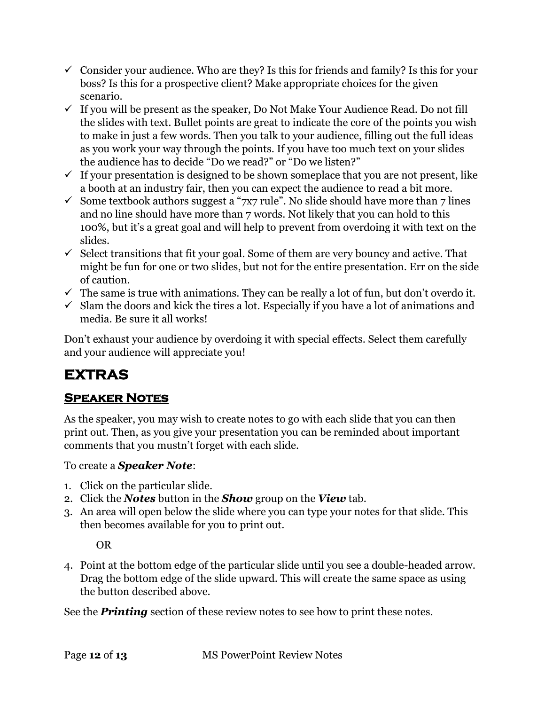- $\checkmark$  Consider your audience. Who are they? Is this for friends and family? Is this for your boss? Is this for a prospective client? Make appropriate choices for the given scenario.
- $\checkmark$  If you will be present as the speaker, Do Not Make Your Audience Read. Do not fill the slides with text. Bullet points are great to indicate the core of the points you wish to make in just a few words. Then you talk to your audience, filling out the full ideas as you work your way through the points. If you have too much text on your slides the audience has to decide "Do we read?" or "Do we listen?"
- $\checkmark$  If your presentation is designed to be shown someplace that you are not present, like a booth at an industry fair, then you can expect the audience to read a bit more.
- $\checkmark$  Some textbook authors suggest a "7x7 rule". No slide should have more than 7 lines and no line should have more than 7 words. Not likely that you can hold to this 100%, but it's a great goal and will help to prevent from overdoing it with text on the slides.
- $\checkmark$  Select transitions that fit your goal. Some of them are very bouncy and active. That might be fun for one or two slides, but not for the entire presentation. Err on the side of caution.
- $\checkmark$  The same is true with animations. They can be really a lot of fun, but don't overdo it.
- $\checkmark$  Slam the doors and kick the tires a lot. Especially if you have a lot of animations and media. Be sure it all works!

Don't exhaust your audience by overdoing it with special effects. Select them carefully and your audience will appreciate you!

## <span id="page-11-0"></span>**EXTRAS**

## <span id="page-11-1"></span>**Speaker Notes**

As the speaker, you may wish to create notes to go with each slide that you can then print out. Then, as you give your presentation you can be reminded about important comments that you mustn't forget with each slide.

To create a *Speaker Note*:

- 1. Click on the particular slide.
- 2. Click the *Notes* button in the *Show* group on the *View* tab.
- 3. An area will open below the slide where you can type your notes for that slide. This then becomes available for you to print out.

OR

4. Point at the bottom edge of the particular slide until you see a double-headed arrow. Drag the bottom edge of the slide upward. This will create the same space as using the button described above.

<span id="page-11-2"></span>See the *Printing* section of these review notes to see how to print these notes.